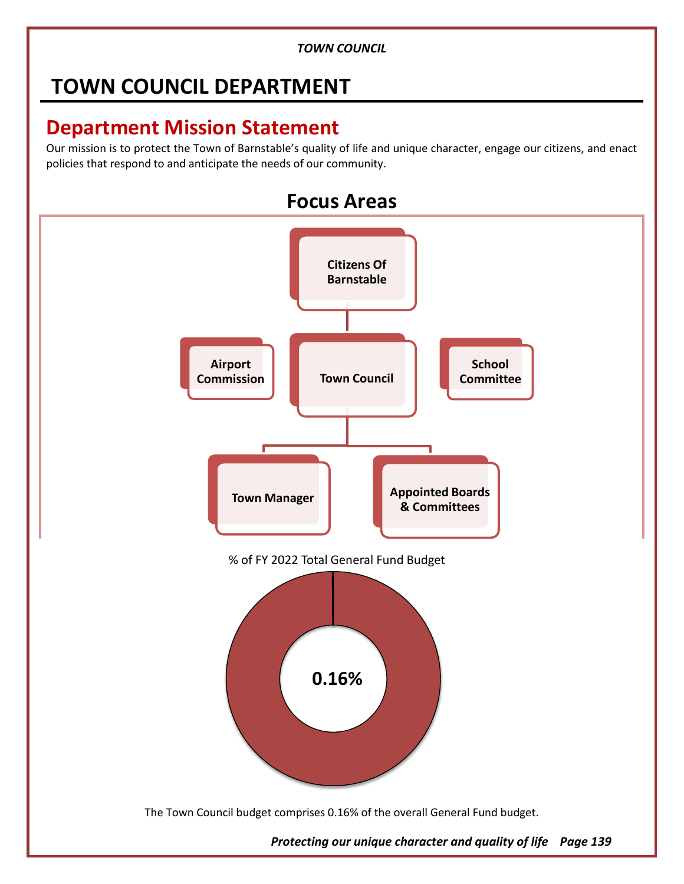# **TOWN COUNCIL DEPARTMENT**

## **Department Mission Statement**

Our mission is to protect the Town of Barnstable's quality of life and unique character, engage our citizens, and enact policies that respond to and anticipate the needs of our community.



*Protecting our unique character and quality of life Page 139*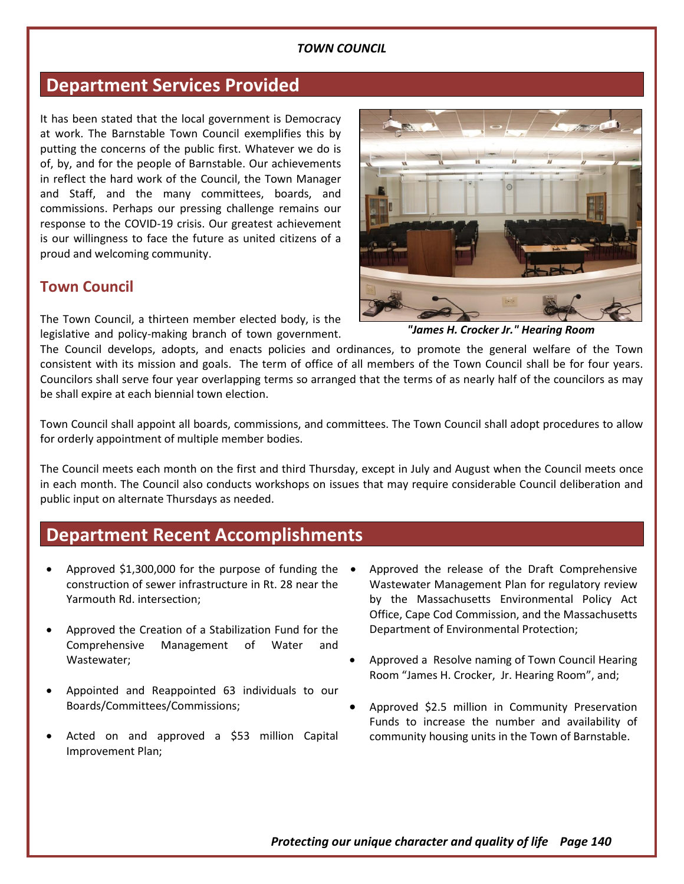### **Department Services Provided**

It has been stated that the local government is Democracy at work. The Barnstable Town Council exemplifies this by putting the concerns of the public first. Whatever we do is of, by, and for the people of Barnstable. Our achievements in reflect the hard work of the Council, the Town Manager and Staff, and the many committees, boards, and commissions. Perhaps our pressing challenge remains our response to the COVID-19 crisis. Our greatest achievement is our willingness to face the future as united citizens of a proud and welcoming community.

#### **Town Council**

The Town Council, a thirteen member elected body, is the legislative and policy-making branch of town government.

The Council develops, adopts, and enacts policies and ordinances, to promote the general welfare of the Town consistent with its mission and goals. The term of office of all members of the Town Council shall be for four years. Councilors shall serve four year overlapping terms so arranged that the terms of as nearly half of the councilors as may be shall expire at each biennial town election.

Town Council shall appoint all boards, commissions, and committees. The Town Council shall adopt procedures to allow for orderly appointment of multiple member bodies.

The Council meets each month on the first and third Thursday, except in July and August when the Council meets once in each month. The Council also conducts workshops on issues that may require considerable Council deliberation and public input on alternate Thursdays as needed.

### **Department Recent Accomplishments**

- Approved \$1,300,000 for the purpose of funding the construction of sewer infrastructure in Rt. 28 near the Yarmouth Rd. intersection;
- Approved the Creation of a Stabilization Fund for the Comprehensive Management of Water and Wastewater;
- Appointed and Reappointed 63 individuals to our Boards/Committees/Commissions;
- Acted on and approved a \$53 million Capital Improvement Plan;
- Approved the release of the Draft Comprehensive Wastewater Management Plan for regulatory review by the Massachusetts Environmental Policy Act Office, Cape Cod Commission, and the Massachusetts Department of Environmental Protection;
- Approved a Resolve naming of Town Council Hearing Room "James H. Crocker, Jr. Hearing Room", and;
- Approved \$2.5 million in Community Preservation Funds to increase the number and availability of community housing units in the Town of Barnstable.

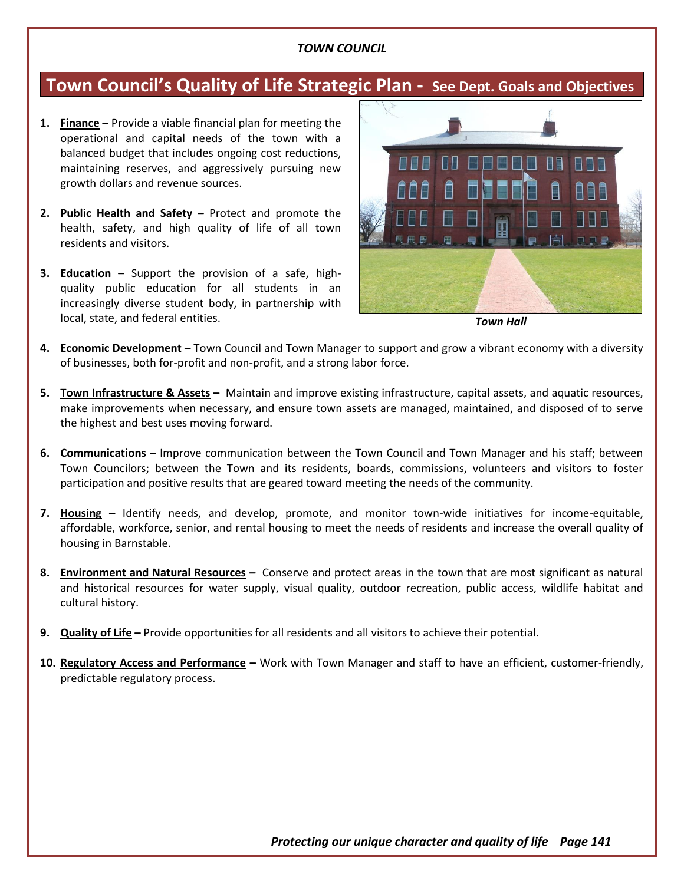## **Town Council's Quality of Life Strategic Plan - See Dept. Goals and Objectives**

- **1. Finance –** Provide a viable financial plan for meeting the operational and capital needs of the town with a balanced budget that includes ongoing cost reductions, maintaining reserves, and aggressively pursuing new growth dollars and revenue sources.
- **2. Public Health and Safety –** Protect and promote the health, safety, and high quality of life of all town residents and visitors.
- **3. Education –** Support the provision of a safe, highquality public education for all students in an increasingly diverse student body, in partnership with local, state, and federal entities.



*Town Hall*

- **4. Economic Development –** Town Council and Town Manager to support and grow a vibrant economy with a diversity of businesses, both for-profit and non-profit, and a strong labor force.
- **5. Town Infrastructure & Assets –** Maintain and improve existing infrastructure, capital assets, and aquatic resources, make improvements when necessary, and ensure town assets are managed, maintained, and disposed of to serve the highest and best uses moving forward.
- **6. Communications –** Improve communication between the Town Council and Town Manager and his staff; between Town Councilors; between the Town and its residents, boards, commissions, volunteers and visitors to foster participation and positive results that are geared toward meeting the needs of the community.
- **7. Housing –** Identify needs, and develop, promote, and monitor town-wide initiatives for income-equitable, affordable, workforce, senior, and rental housing to meet the needs of residents and increase the overall quality of housing in Barnstable.
- **8. Environment and Natural Resources –** Conserve and protect areas in the town that are most significant as natural and historical resources for water supply, visual quality, outdoor recreation, public access, wildlife habitat and cultural history.
- **9. Quality of Life –** Provide opportunities for all residents and all visitors to achieve their potential.
- **10. Regulatory Access and Performance –** Work with Town Manager and staff to have an efficient, customer-friendly, predictable regulatory process.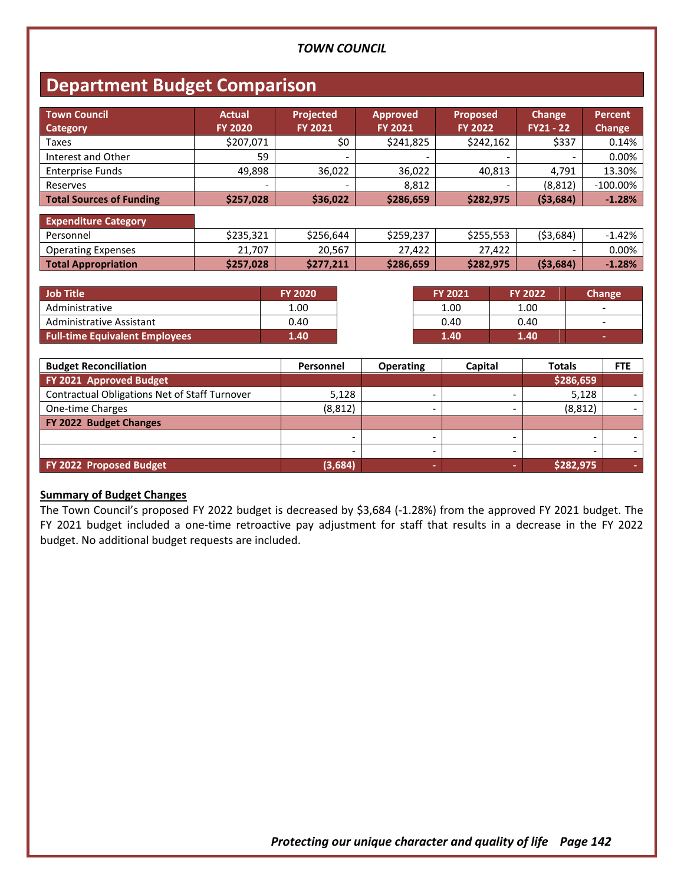## **Department Budget Comparison**

| <b>Town Council</b><br><b>Category</b> | <b>Actual</b><br><b>FY 2020</b> | Projected<br><b>FY 2021</b> | <b>Approved</b><br><b>FY 2021</b> | <b>Proposed</b><br><b>FY 2022</b> | <b>Change</b><br>$FY21 - 22$ | <b>Percent</b><br>Change |
|----------------------------------------|---------------------------------|-----------------------------|-----------------------------------|-----------------------------------|------------------------------|--------------------------|
| Taxes                                  | \$207,071                       | \$0                         | \$241,825                         | \$242,162                         | \$337                        | 0.14%                    |
| Interest and Other                     | 59                              |                             |                                   |                                   | $\overline{\phantom{a}}$     | 0.00%                    |
| <b>Enterprise Funds</b>                | 49,898                          | 36,022                      | 36,022                            | 40,813                            | 4.791                        | 13.30%                   |
| Reserves                               | -                               |                             | 8,812                             |                                   | (8, 812)                     | $-100.00\%$              |
| <b>Total Sources of Funding</b>        | \$257,028                       | \$36,022                    | \$286,659                         | \$282,975                         | (53, 684)                    | $-1.28%$                 |
| <b>Expenditure Category</b>            |                                 |                             |                                   |                                   |                              |                          |
| Personnel                              | \$235,321                       | \$256,644                   | \$259,237                         | \$255,553                         | ( \$3,684)                   | $-1.42%$                 |
| <b>Operating Expenses</b>              | 21,707                          | 20,567                      | 27,422                            | 27,422                            | -                            | 0.00%                    |
| <b>Total Appropriation</b>             | \$257,028                       | \$277,211                   | \$286,659                         | \$282,975                         | ( \$3,684)                   | $-1.28%$                 |

| <b>Job Title</b>                      | <b>FY 2020</b> | <b>FY 2021</b> | <b>FY 2022</b> | Change                   |
|---------------------------------------|----------------|----------------|----------------|--------------------------|
| Administrative                        | 1.00           | 1.00           | 1.00           | $\overline{\phantom{0}}$ |
| Administrative Assistant              | 0.40           | 0.40           | 0.40           | $\overline{\phantom{0}}$ |
| <b>Full-time Equivalent Employees</b> | 1.40           | 1.40           | 1.40           |                          |

| <b>Budget Reconciliation</b>                  | Personnel | <b>Operating</b> | Capital | <b>Totals</b> | <b>FTE</b> |
|-----------------------------------------------|-----------|------------------|---------|---------------|------------|
| FY 2021 Approved Budget                       |           |                  |         | \$286,659     |            |
| Contractual Obligations Net of Staff Turnover | 5,128     |                  |         | 5,128         |            |
| One-time Charges                              | (8, 812)  |                  |         | (8, 812)      |            |
| FY 2022 Budget Changes                        |           |                  |         |               |            |
|                                               |           |                  |         |               |            |
|                                               |           |                  |         |               |            |
| FY 2022 Proposed Budget                       | (3,684)   | -                |         | \$282,975     |            |

#### **Summary of Budget Changes**

The Town Council's proposed FY 2022 budget is decreased by \$3,684 (-1.28%) from the approved FY 2021 budget. The FY 2021 budget included a one-time retroactive pay adjustment for staff that results in a decrease in the FY 2022 budget. No additional budget requests are included.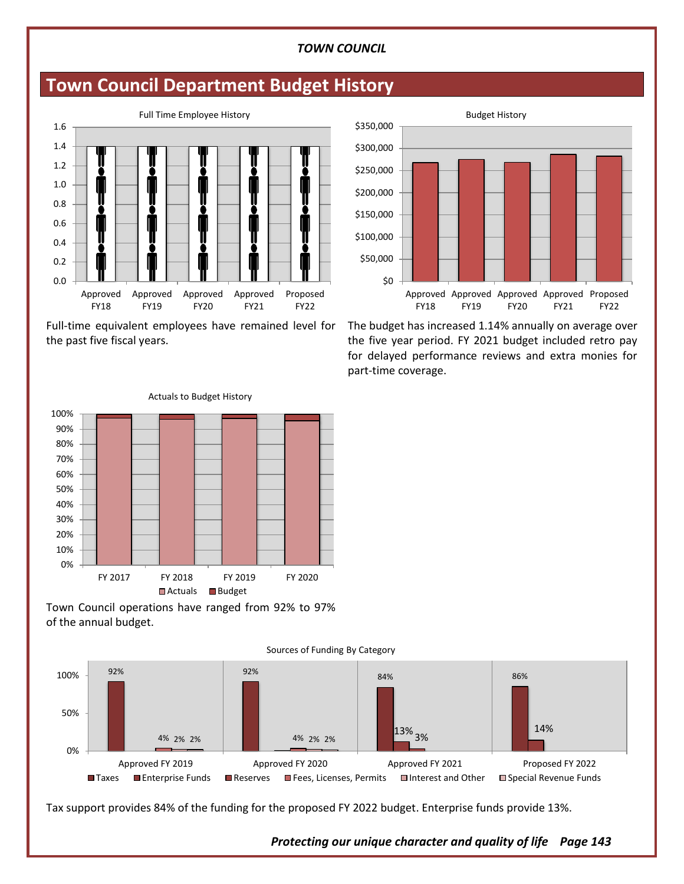## **Town Council Department Budget History**



Full-time equivalent employees have remained level for the past five fiscal years.

Actuals to Budget History



The budget has increased 1.14% annually on average over the five year period. FY 2021 budget included retro pay for delayed performance reviews and extra monies for part-time coverage.



Town Council operations have ranged from 92% to 97% of the annual budget.



Tax support provides 84% of the funding for the proposed FY 2022 budget. Enterprise funds provide 13%.